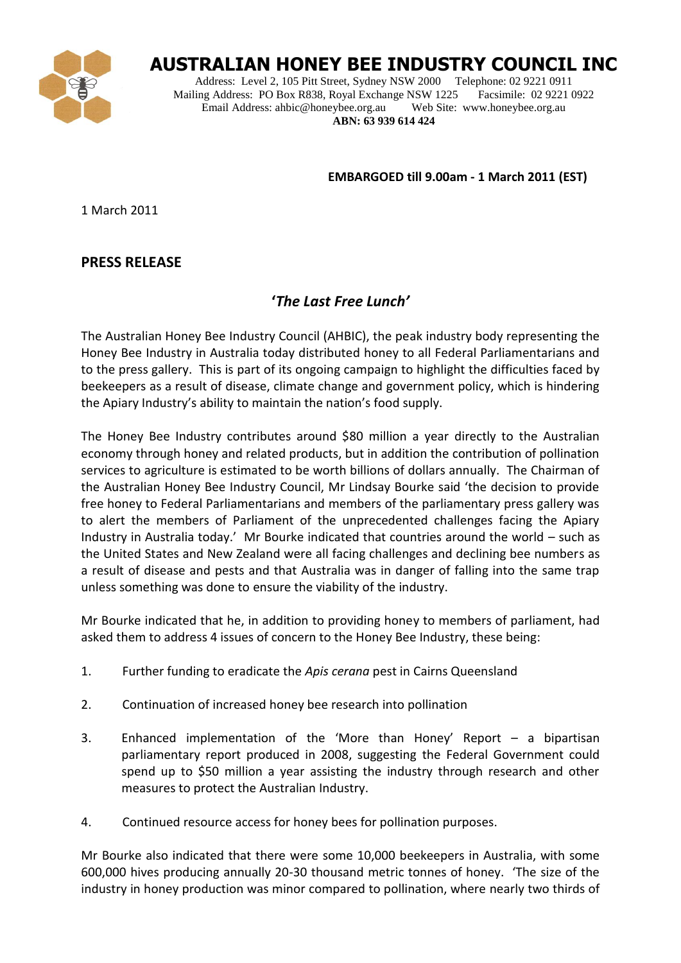

## **AUSTRALIAN HONEY BEE INDUSTRY COUNCIL INC**

Address: Level 2, 105 Pitt Street, Sydney NSW 2000 Telephone: 02 9221 0911<br>
ling Address: PO Box R838, Royal Exchange NSW 1225 Facsimile: 02 9221 0922 Mailing Address: PO Box R838, Royal Exchange NSW 1225 Email Address: ahbic@honeybee.org.au Web Site: www.honeybee.org.au **ABN: 63 939 614 424**

**EMBARGOED till 9.00am - 1 March 2011 (EST)**

1 March 2011

## **PRESS RELEASE**

## **'***The Last Free Lunch'*

The Australian Honey Bee Industry Council (AHBIC), the peak industry body representing the Honey Bee Industry in Australia today distributed honey to all Federal Parliamentarians and to the press gallery. This is part of its ongoing campaign to highlight the difficulties faced by beekeepers as a result of disease, climate change and government policy, which is hindering the Apiary Industry's ability to maintain the nation's food supply.

The Honey Bee Industry contributes around \$80 million a year directly to the Australian economy through honey and related products, but in addition the contribution of pollination services to agriculture is estimated to be worth billions of dollars annually. The Chairman of the Australian Honey Bee Industry Council, Mr Lindsay Bourke said 'the decision to provide free honey to Federal Parliamentarians and members of the parliamentary press gallery was to alert the members of Parliament of the unprecedented challenges facing the Apiary Industry in Australia today.' Mr Bourke indicated that countries around the world – such as the United States and New Zealand were all facing challenges and declining bee numbers as a result of disease and pests and that Australia was in danger of falling into the same trap unless something was done to ensure the viability of the industry.

Mr Bourke indicated that he, in addition to providing honey to members of parliament, had asked them to address 4 issues of concern to the Honey Bee Industry, these being:

- 1. Further funding to eradicate the *Apis cerana* pest in Cairns Queensland
- 2. Continuation of increased honey bee research into pollination
- 3. Enhanced implementation of the 'More than Honey' Report a bipartisan parliamentary report produced in 2008, suggesting the Federal Government could spend up to \$50 million a year assisting the industry through research and other measures to protect the Australian Industry.
- 4. Continued resource access for honey bees for pollination purposes.

Mr Bourke also indicated that there were some 10,000 beekeepers in Australia, with some 600,000 hives producing annually 20-30 thousand metric tonnes of honey. 'The size of the industry in honey production was minor compared to pollination, where nearly two thirds of